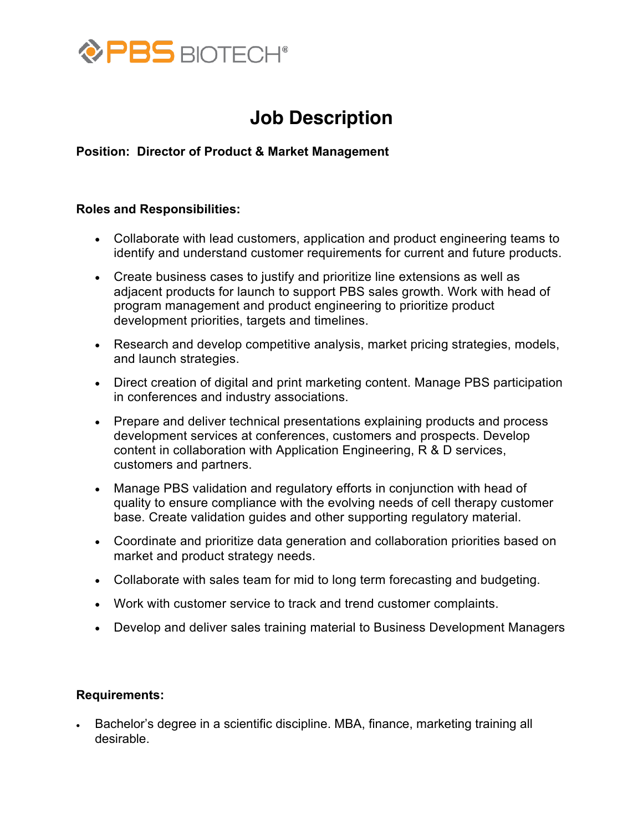

## **Job Description**

**Position: Director of Product & Market Management**

## **Roles and Responsibilities:**

- Collaborate with lead customers, application and product engineering teams to identify and understand customer requirements for current and future products.
- Create business cases to justify and prioritize line extensions as well as adjacent products for launch to support PBS sales growth. Work with head of program management and product engineering to prioritize product development priorities, targets and timelines.
- Research and develop competitive analysis, market pricing strategies, models, and launch strategies.
- Direct creation of digital and print marketing content. Manage PBS participation in conferences and industry associations.
- Prepare and deliver technical presentations explaining products and process development services at conferences, customers and prospects. Develop content in collaboration with Application Engineering, R & D services, customers and partners.
- Manage PBS validation and regulatory efforts in conjunction with head of quality to ensure compliance with the evolving needs of cell therapy customer base. Create validation guides and other supporting regulatory material.
- Coordinate and prioritize data generation and collaboration priorities based on market and product strategy needs.
- Collaborate with sales team for mid to long term forecasting and budgeting.
- Work with customer service to track and trend customer complaints.
- Develop and deliver sales training material to Business Development Managers

## **Requirements:**

• Bachelor's degree in a scientific discipline. MBA, finance, marketing training all desirable.